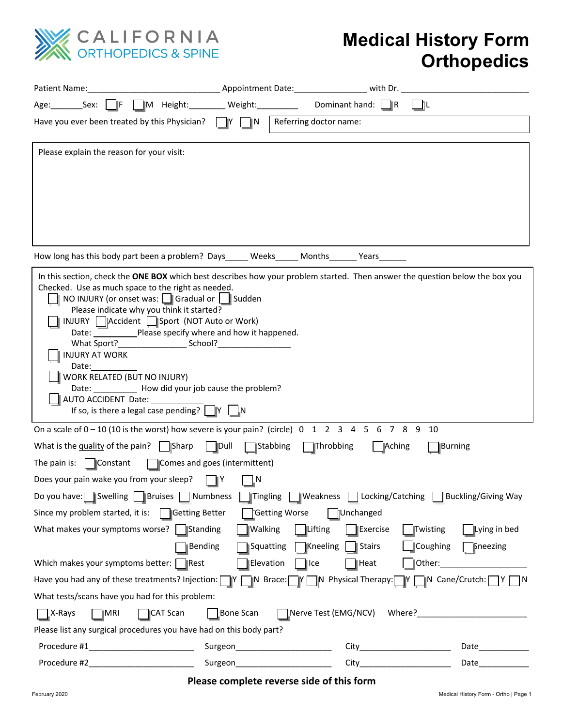

## **Medical History Form Orthopedics**

| Patient Name:                                                                                                                                                                                                                                                                                                                                                                                                                                                                                                                                                                                      | Appointment Date: with Dr.                             |                                      |                                                   |
|----------------------------------------------------------------------------------------------------------------------------------------------------------------------------------------------------------------------------------------------------------------------------------------------------------------------------------------------------------------------------------------------------------------------------------------------------------------------------------------------------------------------------------------------------------------------------------------------------|--------------------------------------------------------|--------------------------------------|---------------------------------------------------|
| $\parallel$ $\parallel$ M Height:<br>Age: Sex:<br>-lF                                                                                                                                                                                                                                                                                                                                                                                                                                                                                                                                              | Weight: New York Media                                 | Dominant hand: $\Box$ R              |                                                   |
| Have you ever been treated by this Physician?                                                                                                                                                                                                                                                                                                                                                                                                                                                                                                                                                      | Referring doctor name:<br>ÌΝ<br>IY.                    |                                      |                                                   |
| Please explain the reason for your visit:                                                                                                                                                                                                                                                                                                                                                                                                                                                                                                                                                          |                                                        |                                      |                                                   |
| How long has this body part been a problem? Days ______ Weeks_______ Months_______ Years_                                                                                                                                                                                                                                                                                                                                                                                                                                                                                                          |                                                        |                                      |                                                   |
| In this section, check the <b>ONE BOX</b> which best describes how your problem started. Then answer the question below the box you<br>Checked. Use as much space to the right as needed.<br>NO INJURY (or onset was: Gradual or Sudden<br>Please indicate why you think it started?<br>INJURY   Accident   Sport (NOT Auto or Work)<br>Date: Please specify where and how it happened.<br><b>INJURY AT WORK</b><br>Date:<br>WORK RELATED (BUT NO INJURY)<br>Date: _____________ How did your job cause the problem?<br>AUTO ACCIDENT Date:<br>If so, is there a legal case pending? $\Box Y \Box$ |                                                        |                                      |                                                   |
| On a scale of $0-10$ (10 is the worst) how severe is your pain? (circle) $0 \quad 1 \quad 2 \quad 3 \quad 4 \quad 5 \quad 6 \quad 7 \quad 8 \quad 9$                                                                                                                                                                                                                                                                                                                                                                                                                                               |                                                        | 10                                   |                                                   |
| What is the $\frac{quality}{y}$ of the pain?     Sharp                                                                                                                                                                                                                                                                                                                                                                                                                                                                                                                                             | ∥Dull<br>Stabbing<br>Throbbing                         | Aching<br><b>Burning</b>             |                                                   |
| The pain is: $\ \cdot\ $ Constant                                                                                                                                                                                                                                                                                                                                                                                                                                                                                                                                                                  | Comes and goes (intermittent)                          |                                      |                                                   |
| Does your pain wake you from your sleep?                                                                                                                                                                                                                                                                                                                                                                                                                                                                                                                                                           | N<br>IΙY                                               |                                      |                                                   |
| Do you have: Swelling Bruises Numbness Tingling Nueakness Diccking/Catching Buckling/Giving Way                                                                                                                                                                                                                                                                                                                                                                                                                                                                                                    |                                                        |                                      |                                                   |
| Getting Worse<br>Since my problem started, it is: $\Box$ Getting Better<br>Unchanged                                                                                                                                                                                                                                                                                                                                                                                                                                                                                                               |                                                        |                                      |                                                   |
| What makes your symptoms worse? Standing                                                                                                                                                                                                                                                                                                                                                                                                                                                                                                                                                           | <b>ILifting</b><br><b>Walking</b>                      | Exercise<br>Twisting                 | Lying in bed                                      |
| Bending<br>Which makes your symptoms better:   Rest                                                                                                                                                                                                                                                                                                                                                                                                                                                                                                                                                | Squatting<br>■Kneeling<br>Elevation<br>$\parallel$ Ice | ∫Coughing<br>│ <b>Stairs</b><br>Heat | $\Box$ Sneezing<br> Other:_______________________ |
| Have you had any of these treatments? Injection: IY IN Brace: IY IN Physical Therapy: IY IN Cane/Crutch: IY IN                                                                                                                                                                                                                                                                                                                                                                                                                                                                                     |                                                        |                                      |                                                   |
| What tests/scans have you had for this problem:                                                                                                                                                                                                                                                                                                                                                                                                                                                                                                                                                    |                                                        |                                      |                                                   |
| $\Box$ X-Rays<br>$\blacksquare$ MRI<br>CAT Scan                                                                                                                                                                                                                                                                                                                                                                                                                                                                                                                                                    | Bone Scan                                              |                                      |                                                   |
| Please list any surgical procedures you have had on this body part?                                                                                                                                                                                                                                                                                                                                                                                                                                                                                                                                |                                                        |                                      |                                                   |
| Procedure #1                                                                                                                                                                                                                                                                                                                                                                                                                                                                                                                                                                                       | Surgeon__________________________                      | City__________________________       |                                                   |
| Procedure #2_<br><u> 1989 - Johann Barn, mars eta bat eta bat e</u>                                                                                                                                                                                                                                                                                                                                                                                                                                                                                                                                |                                                        | City__________________________       | Date_____________                                 |

**Please complete reverse side of this form**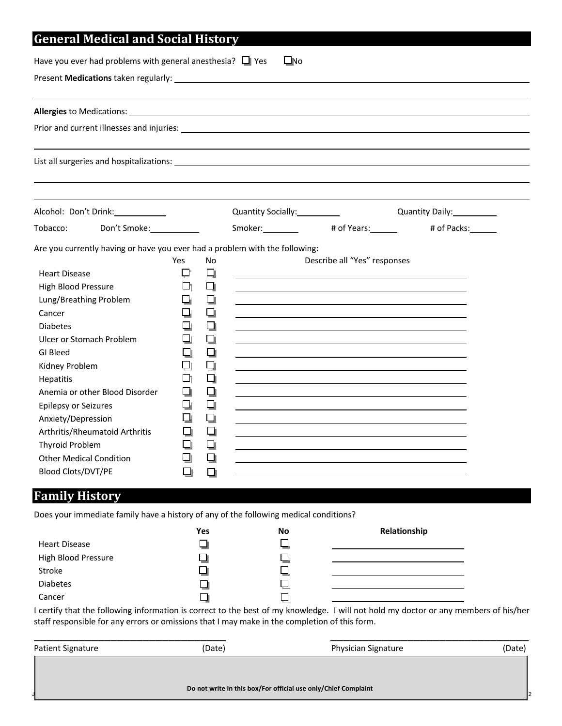| Have you ever had problems with general anesthesia? $\Box$ Yes                                                                                                                                                                                                                                                                                                                                                                                        |                                                                 |                                                                                         | $\square$ No |                              |                                         |
|-------------------------------------------------------------------------------------------------------------------------------------------------------------------------------------------------------------------------------------------------------------------------------------------------------------------------------------------------------------------------------------------------------------------------------------------------------|-----------------------------------------------------------------|-----------------------------------------------------------------------------------------|--------------|------------------------------|-----------------------------------------|
|                                                                                                                                                                                                                                                                                                                                                                                                                                                       |                                                                 |                                                                                         |              |                              |                                         |
|                                                                                                                                                                                                                                                                                                                                                                                                                                                       |                                                                 |                                                                                         |              |                              |                                         |
| Prior and current illnesses and injuries: Note that the state of the state of the state of the state of the state of the state of the state of the state of the state of the state of the state of the state of the state of t                                                                                                                                                                                                                        |                                                                 |                                                                                         |              |                              |                                         |
|                                                                                                                                                                                                                                                                                                                                                                                                                                                       |                                                                 |                                                                                         |              |                              |                                         |
| Alcohol: Don't Drink: ___________                                                                                                                                                                                                                                                                                                                                                                                                                     |                                                                 |                                                                                         |              |                              | Quantity Daily: 2000                    |
| Don't Smoke: ____________<br>Tobacco:                                                                                                                                                                                                                                                                                                                                                                                                                 |                                                                 |                                                                                         |              |                              | Smoker: # of Years: # under # of Packs: |
| Are you currently having or have you ever had a problem with the following:<br><b>Heart Disease</b><br>High Blood Pressure<br>Lung/Breathing Problem<br>Cancer<br><b>Diabetes</b><br>Ulcer or Stomach Problem<br>GI Bleed<br>Kidney Problem<br>Hepatitis<br>Anemia or other Blood Disorder<br>Epilepsy or Seizures<br>Anxiety/Depression<br>Arthritis/Rheumatoid Arthritis<br>Thyroid Problem<br><b>Other Medical Condition</b><br>Blood Clots/DVT/PE | Yes<br>ᇅ<br>마<br>⊔<br>❏<br>❏<br>口<br>머<br>❏<br>❏<br>❏<br>❏<br>ப | No<br>口<br>口<br>❏<br>❏<br>❏<br>❏<br>❏<br>$\Box$<br>口<br>❏<br>❏<br>❏<br>❏<br>❏<br>❏<br>❏ |              | Describe all "Yes" responses |                                         |

## **Family History**

Does your immediate family have a history of any of the following medical conditions?

|                      | Yes | <b>No</b> | Relationship                                                                                                                   |
|----------------------|-----|-----------|--------------------------------------------------------------------------------------------------------------------------------|
| <b>Heart Disease</b> |     |           |                                                                                                                                |
| High Blood Pressure  |     |           |                                                                                                                                |
| Stroke               |     |           |                                                                                                                                |
| <b>Diabetes</b>      |     |           |                                                                                                                                |
| Cancer               |     |           |                                                                                                                                |
|                      |     |           | the state of the fallent interesting to concert to the heat of much showed and thill was held much account on the state of his |

I certify that the following information is correct to the best of my knowledge. I will not hold my doctor or any members of his/her staff responsible for any errors or omissions that I may make in the completion of this form.

| <b>Patient Signature</b> | (Date) | Physician Signature                                            | (Date) |
|--------------------------|--------|----------------------------------------------------------------|--------|
|                          |        | Do not write in this box/For official use only/Chief Complaint | 2      |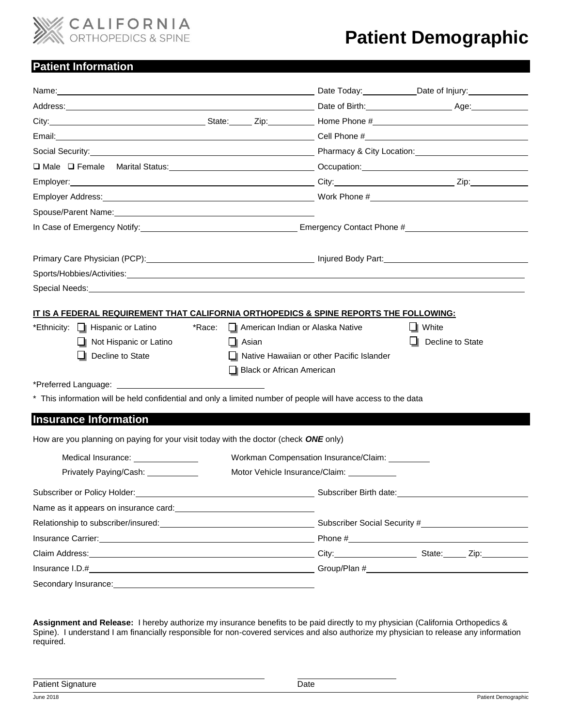

# **Patient Demographic**

## **Patient Information**

| Name: Contract Contract Contract Contract Contract Contract Contract Contract Contract Contract Contract Contract Contract Contract Contract Contract Contract Contract Contract Contract Contract Contract Contract Contract  |                                                                             |                                                                     |
|--------------------------------------------------------------------------------------------------------------------------------------------------------------------------------------------------------------------------------|-----------------------------------------------------------------------------|---------------------------------------------------------------------|
|                                                                                                                                                                                                                                |                                                                             |                                                                     |
|                                                                                                                                                                                                                                |                                                                             |                                                                     |
|                                                                                                                                                                                                                                |                                                                             |                                                                     |
| Social Security: <u>Contract Communication</u> Pharmacy & City Location: Contract Communication Contract Communication                                                                                                         |                                                                             |                                                                     |
|                                                                                                                                                                                                                                |                                                                             |                                                                     |
|                                                                                                                                                                                                                                |                                                                             |                                                                     |
|                                                                                                                                                                                                                                |                                                                             |                                                                     |
|                                                                                                                                                                                                                                |                                                                             |                                                                     |
|                                                                                                                                                                                                                                |                                                                             |                                                                     |
|                                                                                                                                                                                                                                |                                                                             |                                                                     |
|                                                                                                                                                                                                                                |                                                                             |                                                                     |
|                                                                                                                                                                                                                                |                                                                             |                                                                     |
| Special Needs: Website the Contract of the Contract of the Contract of the Contract of the Contract of the Contract of the Contract of the Contract of the Contract of the Contract of the Contract of the Contract of the Con |                                                                             |                                                                     |
|                                                                                                                                                                                                                                |                                                                             |                                                                     |
| <u>IT IS A FEDERAL REQUIREMENT THAT CALIFORNIA ORTHOPEDICS &amp; SPINE REPORTS THE FOLLOWING:</u>                                                                                                                              |                                                                             |                                                                     |
| *Ethnicity: I Hispanic or Latino<br>American Indian or Alaska Native<br>*Race:                                                                                                                                                 |                                                                             | $\Box$ White                                                        |
| □ Not Hispanic or Latino<br>$\Box$ Asian                                                                                                                                                                                       |                                                                             | Decline to State                                                    |
| Decline to State<br>□ Native Hawaiian or other Pacific Islander                                                                                                                                                                |                                                                             |                                                                     |
| Black or African American                                                                                                                                                                                                      |                                                                             |                                                                     |
|                                                                                                                                                                                                                                |                                                                             |                                                                     |
| * This information will be held confidential and only a limited number of people will have access to the data                                                                                                                  |                                                                             |                                                                     |
| <b>Insurance Information</b>                                                                                                                                                                                                   |                                                                             |                                                                     |
| How are you planning on paying for your visit today with the doctor (check ONE only)                                                                                                                                           |                                                                             |                                                                     |
| Medical Insurance: <u>_____________________</u>                                                                                                                                                                                | Workman Compensation Insurance/Claim: Vorkman Compensation Insurance/Claim: |                                                                     |
| Privately Paying/Cash: 2008                                                                                                                                                                                                    | Motor Vehicle Insurance/Claim: _______________                              |                                                                     |
| Subscriber or Policy Holder:<br><u> 1989 - Johann Barnett, fransk politik (d. 1989)</u>                                                                                                                                        | Subscriber Birth date:                                                      |                                                                     |
| Name as it appears on insurance card: Name is a series of the series of the series of the series of the series                                                                                                                 |                                                                             |                                                                     |
| Relationship to subscriber/insured:<br><u>Netationship</u> to subscriber/insured:                                                                                                                                              |                                                                             |                                                                     |
|                                                                                                                                                                                                                                |                                                                             | Phone $\#$ 2. The set of $\#$ 2. The set of $\#$ 2. The set of $\#$ |
|                                                                                                                                                                                                                                |                                                                             | City: City: City: City:                                             |
| Insurance I.D.#                                                                                                                                                                                                                |                                                                             |                                                                     |
| Secondary Insurance: New York Changes and Changes and Changes and Changes and Changes and Changes and Changes and Changes and Changes and Changes and Changes and Changes and Changes and Changes and Changes and Changes and  |                                                                             |                                                                     |

**Assignment and Release:** I hereby authorize my insurance benefits to be paid directly to my physician (California Orthopedics & Spine). I understand I am financially responsible for non-covered services and also authorize my physician to release any information required.

Patient Signature Date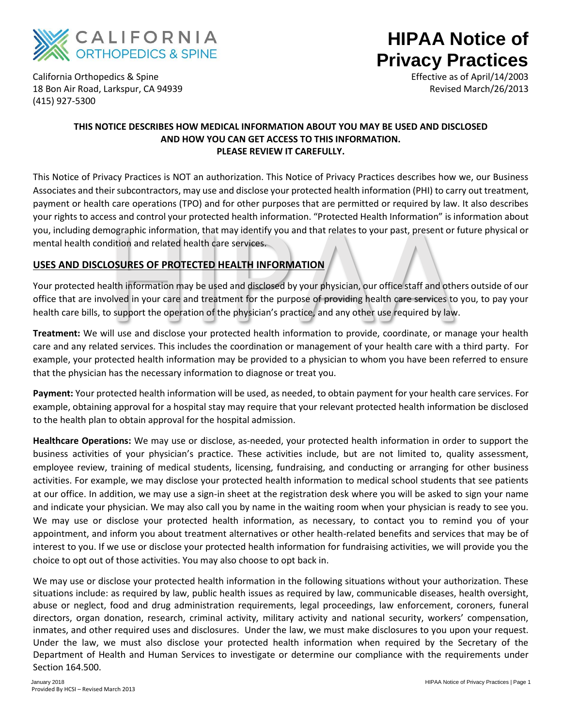

# **HIPAA Notice of Privacy Practices**

California Orthopedics & Spine 18 Bon Air Road, Larkspur, CA 94939 (415) 927-5300

Effective as of April/14/2003 Revised March/26/2013

### **THIS NOTICE DESCRIBES HOW MEDICAL INFORMATION ABOUT YOU MAY BE USED AND DISCLOSED AND HOW YOU CAN GET ACCESS TO THIS INFORMATION. PLEASE REVIEW IT CAREFULLY.**

This Notice of Privacy Practices is NOT an authorization. This Notice of Privacy Practices describes how we, our Business Associates and their subcontractors, may use and disclose your protected health information (PHI) to carry out treatment, payment or health care operations (TPO) and for other purposes that are permitted or required by law. It also describes your rights to access and control your protected health information. "Protected Health Information" is information about you, including demographic information, that may identify you and that relates to your past, present or future physical or mental health condition and related health care services.

## **USES AND DISCLOSURES OF PROTECTED HEALTH INFORMATION**

The magraphic information, that may identify you and that relates to your past, present or<br>nographic information, that may identify you and that relates to your past, present or<br>dition and related health care services.<br>**CO** Your protected health information may be used and disclosed by your physician, our office staff and others outside of our office that are involved in your care and treatment for the purpose of providing health care services to you, to pay your health care bills, to support the operation of the physician's practice, and any other use required by law.

**Treatment:** We will use and disclose your protected health information to provide, coordinate, or manage your health care and any related services. This includes the coordination or management of your health care with a third party. For example, your protected health information may be provided to a physician to whom you have been referred to ensure that the physician has the necessary information to diagnose or treat you.

**Payment:** Your protected health information will be used, as needed, to obtain payment for your health care services. For example, obtaining approval for a hospital stay may require that your relevant protected health information be disclosed to the health plan to obtain approval for the hospital admission.

**Healthcare Operations:** We may use or disclose, as-needed, your protected health information in order to support the business activities of your physician's practice. These activities include, but are not limited to, quality assessment, employee review, training of medical students, licensing, fundraising, and conducting or arranging for other business activities. For example, we may disclose your protected health information to medical school students that see patients at our office. In addition, we may use a sign-in sheet at the registration desk where you will be asked to sign your name and indicate your physician. We may also call you by name in the waiting room when your physician is ready to see you. We may use or disclose your protected health information, as necessary, to contact you to remind you of your appointment, and inform you about treatment alternatives or other health-related benefits and services that may be of interest to you. If we use or disclose your protected health information for fundraising activities, we will provide you the choice to opt out of those activities. You may also choose to opt back in.

We may use or disclose your protected health information in the following situations without your authorization. These situations include: as required by law, public health issues as required by law, communicable diseases, health oversight, abuse or neglect, food and drug administration requirements, legal proceedings, law enforcement, coroners, funeral directors, organ donation, research, criminal activity, military activity and national security, workers' compensation, inmates, and other required uses and disclosures. Under the law, we must make disclosures to you upon your request. Under the law, we must also disclose your protected health information when required by the Secretary of the Department of Health and Human Services to investigate or determine our compliance with the requirements under Section 164.500.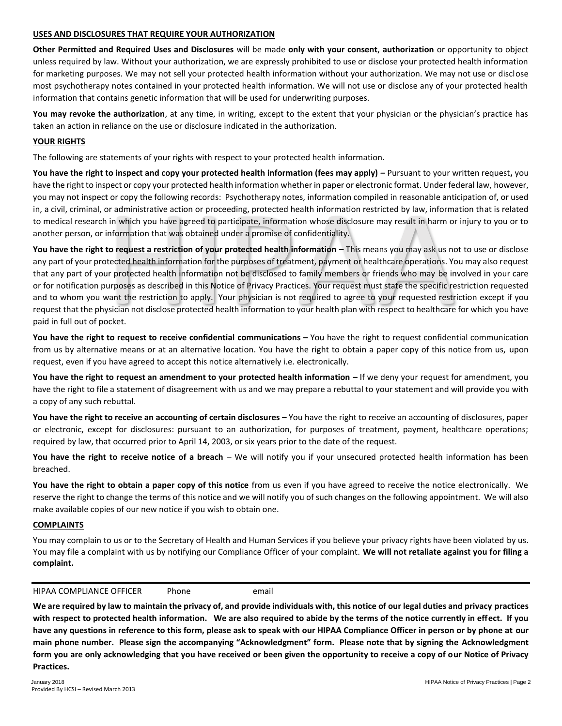#### **USES AND DISCLOSURES THAT REQUIRE YOUR AUTHORIZATION**

**Other Permitted and Required Uses and Disclosures** will be made **only with your consent**, **authorization** or opportunity to object unless required by law. Without your authorization, we are expressly prohibited to use or disclose your protected health information for marketing purposes. We may not sell your protected health information without your authorization. We may not use or disclose most psychotherapy notes contained in your protected health information. We will not use or disclose any of your protected health information that contains genetic information that will be used for underwriting purposes.

**You may revoke the authorization**, at any time, in writing, except to the extent that your physician or the physician's practice has taken an action in reliance on the use or disclosure indicated in the authorization.

#### **YOUR RIGHTS**

The following are statements of your rights with respect to your protected health information.

**You have the right to inspect and copy your protected health information (fees may apply) –** Pursuant to your written request**,** you have the right to inspect or copy your protected health information whether in paper or electronic format. Under federal law, however, you may not inspect or copy the following records: Psychotherapy notes, information compiled in reasonable anticipation of, or used in, a civil, criminal, or administrative action or proceeding, protected health information restricted by law, information that is related to medical research in which you have agreed to participate, information whose disclosure may result in harm or injury to you or to another person, or information that was obtained under a promise of confidentiality.

or administrative action or proceeding, protected health information restricted by law, information in which you have agreed to participate, information whose disclosure may result in harm or information that was obtained You have the right to request a restriction of your protected health information – This means you may ask us not to use or disclose any part of your protected health information for the purposes of treatment, payment or healthcare operations. You may also request that any part of your protected health information not be disclosed to family members or friends who may be involved in your care or for notification purposes as described in this Notice of Privacy Practices. Your request must state the specific restriction requested and to whom you want the restriction to apply. Your physician is not required to agree to your requested restriction except if you request that the physician not disclose protected health information to your health plan with respect to healthcare for which you have paid in full out of pocket.

You have the right to request to receive confidential communications – You have the right to request confidential communication from us by alternative means or at an alternative location. You have the right to obtain a paper copy of this notice from us, upon request, even if you have agreed to accept this notice alternatively i.e. electronically.

**You have the right to request an amendment to your protected health information –** If we deny your request for amendment, you have the right to file a statement of disagreement with us and we may prepare a rebuttal to your statement and will provide you with a copy of any such rebuttal.

**You have the right to receive an accounting of certain disclosures –** You have the right to receive an accounting of disclosures, paper or electronic, except for disclosures: pursuant to an authorization, for purposes of treatment, payment, healthcare operations; required by law, that occurred prior to April 14, 2003, or six years prior to the date of the request.

**You have the right to receive notice of a breach** – We will notify you if your unsecured protected health information has been breached.

**You have the right to obtain a paper copy of this notice** from us even if you have agreed to receive the notice electronically. We reserve the right to change the terms of this notice and we will notify you of such changes on the following appointment. We will also make available copies of our new notice if you wish to obtain one.

#### **COMPLAINTS**

You may complain to us or to the Secretary of Health and Human Services if you believe your privacy rights have been violated by us. You may file a complaint with us by notifying our Compliance Officer of your complaint. **We will not retaliate against you for filing a complaint.**

HIPAA COMPLIANCE OFFICER Phone email

**We are required by law to maintain the privacy of, and provide individuals with, this notice of our legal duties and privacy practices with respect to protected health information. We are also required to abide by the terms of the notice currently in effect. If you have any questions in reference to this form, please ask to speak with our HIPAA Compliance Officer in person or by phone at our main phone number. Please sign the accompanying "Acknowledgment" form. Please note that by signing the Acknowledgment form you are only acknowledging that you have received or been given the opportunity to receive a copy of our Notice of Privacy Practices.**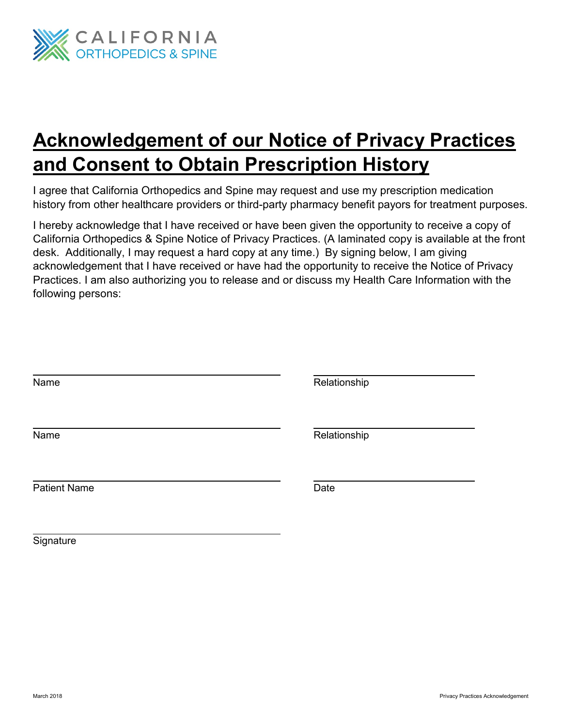

# **Acknowledgement of our Notice of Privacy Practices and Consent to Obtain Prescription History**

I agree that California Orthopedics and Spine may request and use my prescription medication history from other healthcare providers or third-party pharmacy benefit payors for treatment purposes.

I hereby acknowledge that I have received or have been given the opportunity to receive a copy of California Orthopedics & Spine Notice of Privacy Practices. (A laminated copy is available at the front desk. Additionally, I may request a hard copy at any time.) By signing below, I am giving acknowledgement that I have received or have had the opportunity to receive the Notice of Privacy Practices. I am also authorizing you to release and or discuss my Health Care Information with the following persons:

| Name                | Relationship |
|---------------------|--------------|
| Name                | Relationship |
| <b>Patient Name</b> | Date         |

**Signature**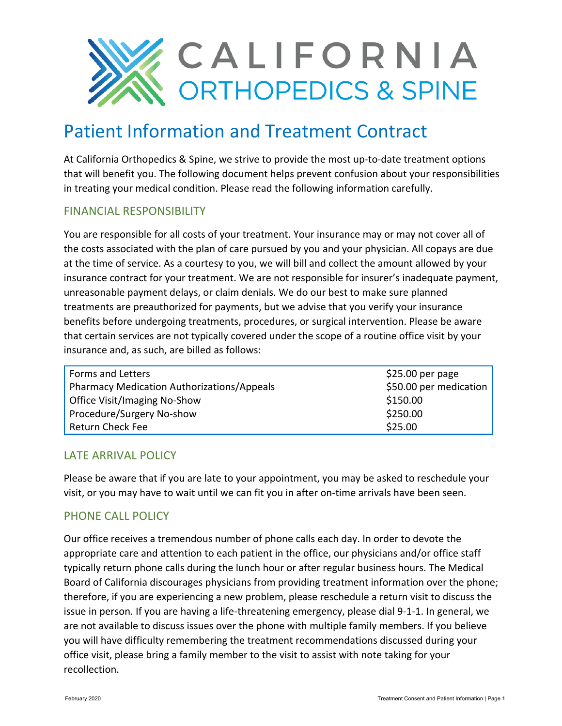

# Patient Information and Treatment Contract

At California Orthopedics & Spine, we strive to provide the most up-to-date treatment options that will benefit you. The following document helps prevent confusion about your responsibilities in treating your medical condition. Please read the following information carefully.

## FINANCIAL RESPONSIBILITY

You are responsible for all costs of your treatment. Your insurance may or may not cover all of the costs associated with the plan of care pursued by you and your physician. All copays are due at the time of service. As a courtesy to you, we will bill and collect the amount allowed by your insurance contract for your treatment. We are not responsible for insurer's inadequate payment, unreasonable payment delays, or claim denials. We do our best to make sure planned treatments are preauthorized for payments, but we advise that you verify your insurance benefits before undergoing treatments, procedures, or surgical intervention. Please be aware that certain services are not typically covered under the scope of a routine office visit by your insurance and, as such, are billed as follows:

| Forms and Letters                                 | $$25.00$ per page      |
|---------------------------------------------------|------------------------|
| <b>Pharmacy Medication Authorizations/Appeals</b> | \$50.00 per medication |
| Office Visit/Imaging No-Show                      | \$150.00               |
| Procedure/Surgery No-show                         | \$250.00               |
| <b>Return Check Fee</b>                           | \$25.00                |

## LATE ARRIVAL POLICY

Please be aware that if you are late to your appointment, you may be asked to reschedule your visit, or you may have to wait until we can fit you in after on-time arrivals have been seen.

## PHONE CALL POLICY

Our office receives a tremendous number of phone calls each day. In order to devote the appropriate care and attention to each patient in the office, our physicians and/or office staff typically return phone calls during the lunch hour or after regular business hours. The Medical Board of California discourages physicians from providing treatment information over the phone; therefore, if you are experiencing a new problem, please reschedule a return visit to discuss the issue in person. If you are having a life-threatening emergency, please dial 9-1-1. In general, we are not available to discuss issues over the phone with multiple family members. If you believe you will have difficulty remembering the treatment recommendations discussed during your office visit, please bring a family member to the visit to assist with note taking for your recollection.